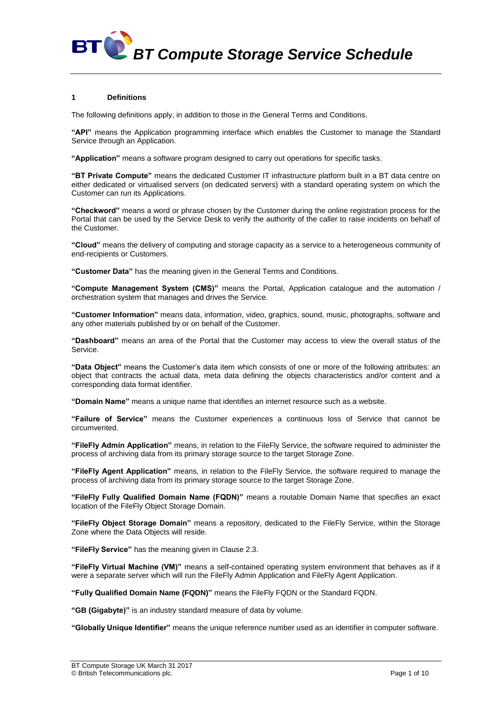*BT Compute Storage Service Schedule*

#### **1 Definitions**

**BT** 

The following definitions apply, in addition to those in the General Terms and Conditions.

**"API"** means the Application programming interface which enables the Customer to manage the Standard Service through an Application.

**"Application"** means a software program designed to carry out operations for specific tasks.

**"BT Private Compute"** means the dedicated Customer IT infrastructure platform built in a BT data centre on either dedicated or virtualised servers (on dedicated servers) with a standard operating system on which the Customer can run its Applications.

**"Checkword"** means a word or phrase chosen by the Customer during the online registration process for the Portal that can be used by the Service Desk to verify the authority of the caller to raise incidents on behalf of the Customer.

**"Cloud"** means the delivery of computing and storage capacity as a service to a heterogeneous community of end-recipients or Customers.

**"Customer Data"** has the meaning given in the General Terms and Conditions.

**"Compute Management System (CMS)"** means the Portal, Application catalogue and the automation / orchestration system that manages and drives the Service.

**"Customer Information"** means data, information, video, graphics, sound, music, photographs, software and any other materials published by or on behalf of the Customer.

**"Dashboard"** means an area of the Portal that the Customer may access to view the overall status of the Service.

**"Data Object"** means the Customer's data item which consists of one or more of the following attributes: an object that contracts the actual data, meta data defining the objects characteristics and/or content and a corresponding data format identifier.

**"Domain Name"** means a unique name that identifies an internet resource such as a website.

**"Failure of Service"** means the Customer experiences a continuous loss of Service that cannot be circumvented.

**"FileFly Admin Application"** means, in relation to the FileFly Service, the software required to administer the process of archiving data from its primary storage source to the target Storage Zone.

**"FileFly Agent Application"** means, in relation to the FileFly Service, the software required to manage the process of archiving data from its primary storage source to the target Storage Zone.

**"FileFly Fully Qualified Domain Name (FQDN)"** means a routable Domain Name that specifies an exact location of the FileFly Object Storage Domain.

**"FileFly Object Storage Domain"** means a repository, dedicated to the FileFly Service, within the Storage Zone where the Data Objects will reside.

**"FileFly Service"** has the meaning given in Clause 2.3.

**"FileFly Virtual Machine (VM)"** means a self-contained operating system environment that behaves as if it were a separate server which will run the FileFly Admin Application and FileFly Agent Application.

**"Fully Qualified Domain Name (FQDN)"** means the FileFly FQDN or the Standard FQDN.

**"GB (Gigabyte)"** is an industry standard measure of data by volume.

**"Globally Unique Identifier"** means the unique reference number used as an identifier in computer software.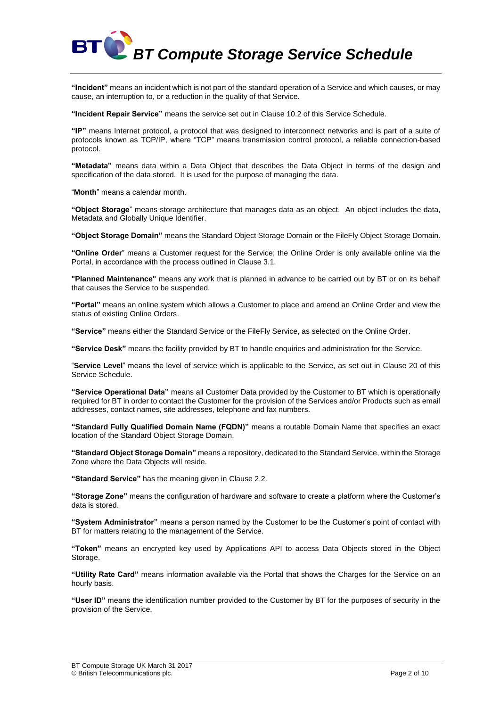

**"Incident"** means an incident which is not part of the standard operation of a Service and which causes, or may cause, an interruption to, or a reduction in the quality of that Service.

**"Incident Repair Service"** means the service set out in Clause [10.2](#page-4-0) of this Service Schedule.

**"IP"** means Internet protocol, a protocol that was designed to interconnect networks and is part of a suite of protocols known as TCP/IP, where "TCP" means transmission control protocol, a reliable connection-based protocol.

**"Metadata"** means data within a Data Object that describes the Data Object in terms of the design and specification of the data stored. It is used for the purpose of managing the data.

"**Month**" means a calendar month.

**"Object Storage**" means storage architecture that manages data as an object. An object includes the data, Metadata and Globally Unique Identifier.

**"Object Storage Domain"** means the Standard Object Storage Domain or the FileFly Object Storage Domain.

**"Online Order**" means a Customer request for the Service; the Online Order is only available online via the Portal, in accordance with the process outlined in Claus[e 3.1.](#page-2-0)

**"Planned Maintenance"** means any work that is planned in advance to be carried out by BT or on its behalf that causes the Service to be suspended.

**"Portal"** means an online system which allows a Customer to place and amend an Online Order and view the status of existing Online Orders.

**"Service"** means either the Standard Service or the FileFly Service, as selected on the Online Order.

**"Service Desk"** means the facility provided by BT to handle enquiries and administration for the Service.

"**Service Level**" means the level of service which is applicable to the Service, as set out in Clause 20 of this Service Schedule.

**"Service Operational Data"** means all Customer Data provided by the Customer to BT which is operationally required for BT in order to contact the Customer for the provision of the Services and/or Products such as email addresses, contact names, site addresses, telephone and fax numbers.

**"Standard Fully Qualified Domain Name (FQDN)"** means a routable Domain Name that specifies an exact location of the Standard Object Storage Domain.

**"Standard Object Storage Domain"** means a repository, dedicated to the Standard Service, within the Storage Zone where the Data Objects will reside.

**"Standard Service"** has the meaning given in Clause 2.2.

**"Storage Zone"** means the configuration of hardware and software to create a platform where the Customer's data is stored.

**"System Administrator"** means a person named by the Customer to be the Customer's point of contact with BT for matters relating to the management of the Service.

**"Token"** means an encrypted key used by Applications API to access Data Objects stored in the Object Storage.

**"Utility Rate Card"** means information available via the Portal that shows the Charges for the Service on an hourly basis.

**"User ID"** means the identification number provided to the Customer by BT for the purposes of security in the provision of the Service.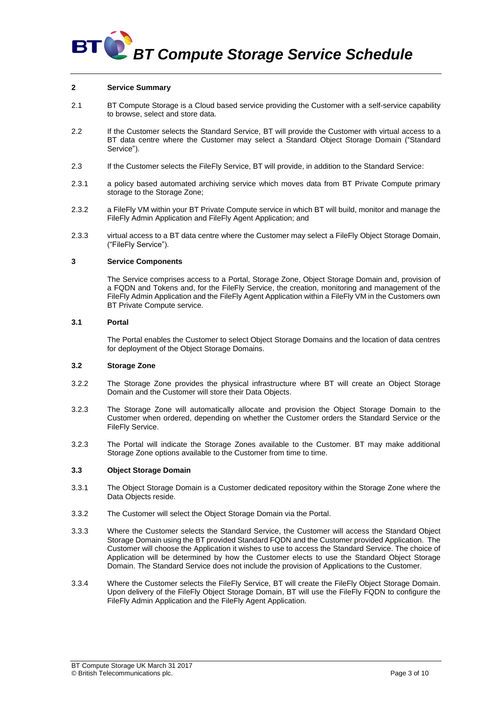

#### **2 Service Summary**

- 2.1 BT Compute Storage is a Cloud based service providing the Customer with a self-service capability to browse, select and store data.
- 2.2 If the Customer selects the Standard Service, BT will provide the Customer with virtual access to a BT data centre where the Customer may select a Standard Object Storage Domain ("Standard Service").
- 2.3 If the Customer selects the FileFly Service, BT will provide, in addition to the Standard Service:
- 2.3.1 a policy based automated archiving service which moves data from BT Private Compute primary storage to the Storage Zone;
- 2.3.2 a FileFly VM within your BT Private Compute service in which BT will build, monitor and manage the FileFly Admin Application and FileFly Agent Application; and
- 2.3.3 virtual access to a BT data centre where the Customer may select a FileFly Object Storage Domain, ("FileFly Service").

#### **3 Service Components**

The Service comprises access to a Portal, Storage Zone, Object Storage Domain and, provision of a FQDN and Tokens and, for the FileFly Service, the creation, monitoring and management of the FileFly Admin Application and the FileFly Agent Application within a FileFly VM in the Customers own BT Private Compute service.

#### <span id="page-2-0"></span>**3.1 Portal**

The Portal enables the Customer to select Object Storage Domains and the location of data centres for deployment of the Object Storage Domains.

## **3.2 Storage Zone**

- 3.2.2 The Storage Zone provides the physical infrastructure where BT will create an Object Storage Domain and the Customer will store their Data Objects.
- 3.2.3 The Storage Zone will automatically allocate and provision the Object Storage Domain to the Customer when ordered, depending on whether the Customer orders the Standard Service or the FileFly Service.
- 3.2.3 The Portal will indicate the Storage Zones available to the Customer. BT may make additional Storage Zone options available to the Customer from time to time.

#### **3.3 Object Storage Domain**

- 3.3.1 The Object Storage Domain is a Customer dedicated repository within the Storage Zone where the Data Objects reside.
- 3.3.2 The Customer will select the Object Storage Domain via the Portal.
- 3.3.3 Where the Customer selects the Standard Service, the Customer will access the Standard Object Storage Domain using the BT provided Standard FQDN and the Customer provided Application. The Customer will choose the Application it wishes to use to access the Standard Service. The choice of Application will be determined by how the Customer elects to use the Standard Object Storage Domain. The Standard Service does not include the provision of Applications to the Customer.
- 3.3.4 Where the Customer selects the FileFly Service, BT will create the FileFly Object Storage Domain. Upon delivery of the FileFly Object Storage Domain, BT will use the FileFly FQDN to configure the FileFly Admin Application and the FileFly Agent Application.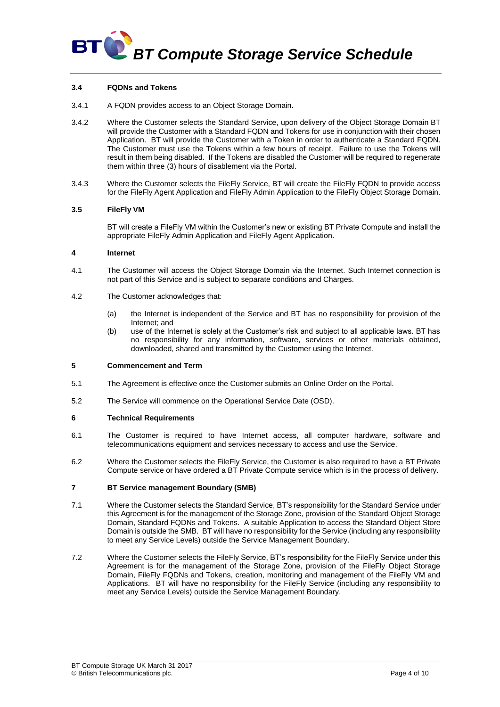

### **3.4 FQDNs and Tokens**

- 3.4.1 A FQDN provides access to an Object Storage Domain.
- 3.4.2 Where the Customer selects the Standard Service, upon delivery of the Object Storage Domain BT will provide the Customer with a Standard FQDN and Tokens for use in conjunction with their chosen Application. BT will provide the Customer with a Token in order to authenticate a Standard FQDN. The Customer must use the Tokens within a few hours of receipt. Failure to use the Tokens will result in them being disabled. If the Tokens are disabled the Customer will be required to regenerate them within three (3) hours of disablement via the Portal.
- 3.4.3 Where the Customer selects the FileFly Service, BT will create the FileFly FQDN to provide access for the FileFly Agent Application and FileFly Admin Application to the FileFly Object Storage Domain.

#### **3.5 FileFly VM**

BT will create a FileFly VM within the Customer's new or existing BT Private Compute and install the appropriate FileFly Admin Application and FileFly Agent Application.

#### **4 Internet**

- 4.1 The Customer will access the Object Storage Domain via the Internet. Such Internet connection is not part of this Service and is subject to separate conditions and Charges.
- 4.2 The Customer acknowledges that:
	- (a) the Internet is independent of the Service and BT has no responsibility for provision of the Internet; and
	- (b) use of the Internet is solely at the Customer's risk and subject to all applicable laws. BT has no responsibility for any information, software, services or other materials obtained, downloaded, shared and transmitted by the Customer using the Internet.

#### **5 Commencement and Term**

- 5.1 The Agreement is effective once the Customer submits an Online Order on the Portal.
- 5.2 The Service will commence on the Operational Service Date (OSD).

#### **6 Technical Requirements**

- 6.1 The Customer is required to have Internet access, all computer hardware, software and telecommunications equipment and services necessary to access and use the Service.
- 6.2 Where the Customer selects the FileFly Service, the Customer is also required to have a BT Private Compute service or have ordered a BT Private Compute service which is in the process of delivery.

#### **7 BT Service management Boundary (SMB)**

- 7.1 Where the Customer selects the Standard Service, BT's responsibility for the Standard Service under this Agreement is for the management of the Storage Zone, provision of the Standard Object Storage Domain, Standard FQDNs and Tokens. A suitable Application to access the Standard Object Store Domain is outside the SMB. BT will have no responsibility for the Service (including any responsibility to meet any Service Levels) outside the Service Management Boundary.
- 7.2 Where the Customer selects the FileFly Service, BT's responsibility for the FileFly Service under this Agreement is for the management of the Storage Zone, provision of the FileFly Object Storage Domain, FileFly FQDNs and Tokens, creation, monitoring and management of the FileFly VM and Applications. BT will have no responsibility for the FileFly Service (including any responsibility to meet any Service Levels) outside the Service Management Boundary.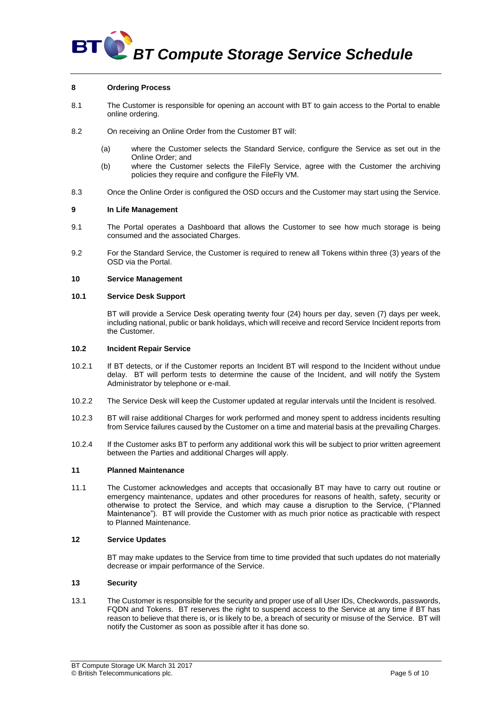## **BT BT Compute Storage Service Schedule**

#### **8 Ordering Process**

- 8.1 The Customer is responsible for opening an account with BT to gain access to the Portal to enable online ordering.
- 8.2 On receiving an Online Order from the Customer BT will:
	- (a) where the Customer selects the Standard Service, configure the Service as set out in the Online Order; and
	- (b) where the Customer selects the FileFly Service, agree with the Customer the archiving policies they require and configure the FileFly VM.
- 8.3 Once the Online Order is configured the OSD occurs and the Customer may start using the Service.

#### **9 In Life Management**

- 9.1 The Portal operates a Dashboard that allows the Customer to see how much storage is being consumed and the associated Charges.
- 9.2 For the Standard Service, the Customer is required to renew all Tokens within three (3) years of the OSD via the Portal.

#### **10 Service Management**

#### **10.1 Service Desk Support**

BT will provide a Service Desk operating twenty four (24) hours per day, seven (7) days per week, including national, public or bank holidays, which will receive and record Service Incident reports from the Customer.

#### <span id="page-4-0"></span>**10.2 Incident Repair Service**

- 10.2.1 If BT detects, or if the Customer reports an Incident BT will respond to the Incident without undue delay. BT will perform tests to determine the cause of the Incident, and will notify the System Administrator by telephone or e-mail.
- 10.2.2 The Service Desk will keep the Customer updated at regular intervals until the Incident is resolved.
- 10.2.3 BT will raise additional Charges for work performed and money spent to address incidents resulting from Service failures caused by the Customer on a time and material basis at the prevailing Charges.
- 10.2.4 If the Customer asks BT to perform any additional work this will be subject to prior written agreement between the Parties and additional Charges will apply.

#### **11 Planned Maintenance**

11.1 The Customer acknowledges and accepts that occasionally BT may have to carry out routine or emergency maintenance, updates and other procedures for reasons of health, safety, security or otherwise to protect the Service, and which may cause a disruption to the Service, ("Planned Maintenance"). BT will provide the Customer with as much prior notice as practicable with respect to Planned Maintenance.

#### **12 Service Updates**

BT may make updates to the Service from time to time provided that such updates do not materially decrease or impair performance of the Service.

## **13 Security**

13.1 The Customer is responsible for the security and proper use of all User IDs, Checkwords, passwords, FQDN and Tokens. BT reserves the right to suspend access to the Service at any time if BT has reason to believe that there is, or is likely to be, a breach of security or misuse of the Service. BT will notify the Customer as soon as possible after it has done so.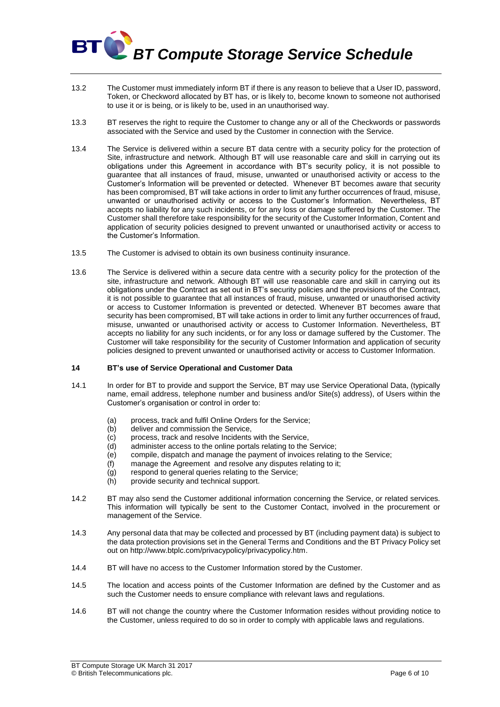# *BT Compute Storage Service Schedule* **BT**

- 13.2 The Customer must immediately inform BT if there is any reason to believe that a User ID, password, Token, or Checkword allocated by BT has, or is likely to, become known to someone not authorised to use it or is being, or is likely to be, used in an unauthorised way.
- 13.3 BT reserves the right to require the Customer to change any or all of the Checkwords or passwords associated with the Service and used by the Customer in connection with the Service.
- 13.4 The Service is delivered within a secure BT data centre with a security policy for the protection of Site, infrastructure and network. Although BT will use reasonable care and skill in carrying out its obligations under this Agreement in accordance with BT's security policy, it is not possible to guarantee that all instances of fraud, misuse, unwanted or unauthorised activity or access to the Customer's Information will be prevented or detected. Whenever BT becomes aware that security has been compromised, BT will take actions in order to limit any further occurrences of fraud, misuse, unwanted or unauthorised activity or access to the Customer's Information. Nevertheless. BT accepts no liability for any such incidents, or for any loss or damage suffered by the Customer. The Customer shall therefore take responsibility for the security of the Customer Information, Content and application of security policies designed to prevent unwanted or unauthorised activity or access to the Customer's Information.
- 13.5 The Customer is advised to obtain its own business continuity insurance.
- 13.6 The Service is delivered within a secure data centre with a security policy for the protection of the site, infrastructure and network. Although BT will use reasonable care and skill in carrying out its obligations under the Contract as set out in BT's security policies and the provisions of the Contract, it is not possible to guarantee that all instances of fraud, misuse, unwanted or unauthorised activity or access to Customer Information is prevented or detected. Whenever BT becomes aware that security has been compromised, BT will take actions in order to limit any further occurrences of fraud, misuse, unwanted or unauthorised activity or access to Customer Information. Nevertheless, BT accepts no liability for any such incidents, or for any loss or damage suffered by the Customer. The Customer will take responsibility for the security of Customer Information and application of security policies designed to prevent unwanted or unauthorised activity or access to Customer Information.

#### **14 BT's use of Service Operational and Customer Data**

- 14.1 In order for BT to provide and support the Service, BT may use Service Operational Data, (typically name, email address, telephone number and business and/or Site(s) address), of Users within the Customer's organisation or control in order to:
	- (a) process, track and fulfil Online Orders for the Service;
	- deliver and commission the Service.
	- (c) process, track and resolve Incidents with the Service,
	- (d) administer access to the online portals relating to the Service;
	- (e) compile, dispatch and manage the payment of invoices relating to the Service;
	- (f) manage the Agreement and resolve any disputes relating to it;
	- (g) respond to general queries relating to the Service;
	- (h) provide security and technical support.
- 14.2 BT may also send the Customer additional information concerning the Service, or related services. This information will typically be sent to the Customer Contact, involved in the procurement or management of the Service.
- 14.3 Any personal data that may be collected and processed by BT (including payment data) is subject to the data protection provisions set in the General Terms and Conditions and the BT Privacy Policy set out on [http://www.btplc.com/privacypolicy/privacypolicy.htm.](http://www.btplc.com/privacypolicy/privacypolicy.htm)
- 14.4 BT will have no access to the Customer Information stored by the Customer.
- 14.5 The location and access points of the Customer Information are defined by the Customer and as such the Customer needs to ensure compliance with relevant laws and regulations.
- <span id="page-5-0"></span>14.6 BT will not change the country where the Customer Information resides without providing notice to the Customer, unless required to do so in order to comply with applicable laws and regulations.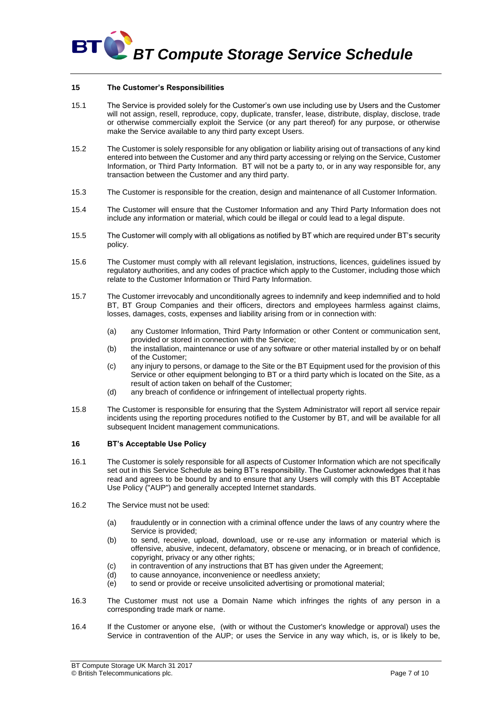

#### **15 The Customer's Responsibilities**

- 15.1 The Service is provided solely for the Customer's own use including use by Users and the Customer will not assign, resell, reproduce, copy, duplicate, transfer, lease, distribute, display, disclose, trade or otherwise commercially exploit the Service (or any part thereof) for any purpose, or otherwise make the Service available to any third party except Users.
- 15.2 The Customer is solely responsible for any obligation or liability arising out of transactions of any kind entered into between the Customer and any third party accessing or relying on the Service, Customer Information, or Third Party Information. BT will not be a party to, or in any way responsible for, any transaction between the Customer and any third party.
- 15.3 The Customer is responsible for the creation, design and maintenance of all Customer Information.
- 15.4 The Customer will ensure that the Customer Information and any Third Party Information does not include any information or material, which could be illegal or could lead to a legal dispute.
- 15.5 The Customer will comply with all obligations as notified by BT which are required under BT's security policy.
- 15.6 The Customer must comply with all relevant legislation, instructions, licences, guidelines issued by regulatory authorities, and any codes of practice which apply to the Customer, including those which relate to the Customer Information or Third Party Information.
- 15.7 The Customer irrevocably and unconditionally agrees to indemnify and keep indemnified and to hold BT, BT Group Companies and their officers, directors and employees harmless against claims, losses, damages, costs, expenses and liability arising from or in connection with:
	- (a) any Customer Information, Third Party Information or other Content or communication sent, provided or stored in connection with the Service;
	- (b) the installation, maintenance or use of any software or other material installed by or on behalf of the Customer;
	- (c) any injury to persons, or damage to the Site or the BT Equipment used for the provision of this Service or other equipment belonging to BT or a third party which is located on the Site, as a result of action taken on behalf of the Customer;
	- (d) any breach of confidence or infringement of intellectual property rights.
- 15.8 The Customer is responsible for ensuring that the System Administrator will report all service repair incidents using the reporting procedures notified to the Customer by BT, and will be available for all subsequent Incident management communications.

#### **16 BT's Acceptable Use Policy**

- 16.1 The Customer is solely responsible for all aspects of Customer Information which are not specifically set out in this Service Schedule as being BT's responsibility. The Customer acknowledges that it has read and agrees to be bound by and to ensure that any Users will comply with this BT Acceptable Use Policy ("AUP") and generally accepted Internet standards.
- 16.2 The Service must not be used:
	- (a) fraudulently or in connection with a criminal offence under the laws of any country where the Service is provided;
	- (b) to send, receive, upload, download, use or re-use any information or material which is offensive, abusive, indecent, defamatory, obscene or menacing, or in breach of confidence, copyright, privacy or any other rights;
	- (c) in contravention of any instructions that BT has given under the Agreement;
	- (d) to cause annoyance, inconvenience or needless anxiety;
	- (e) to send or provide or receive unsolicited advertising or promotional material;
- 16.3 The Customer must not use a Domain Name which infringes the rights of any person in a corresponding trade mark or name.
- 16.4 If the Customer or anyone else, (with or without the Customer's knowledge or approval) uses the Service in contravention of the AUP; or uses the Service in any way which, is, or is likely to be,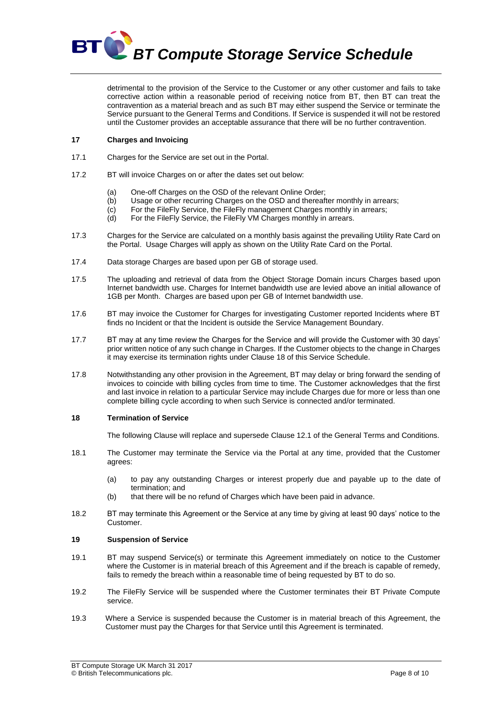

detrimental to the provision of the Service to the Customer or any other customer and fails to take corrective action within a reasonable period of receiving notice from BT, then BT can treat the contravention as a material breach and as such BT may either suspend the Service or terminate the Service pursuant to the General Terms and Conditions. If Service is suspended it will not be restored until the Customer provides an acceptable assurance that there will be no further contravention.

## **17 Charges and Invoicing**

- 17.1 Charges for the Service are set out in the Portal.
- 17.2 BT will invoice Charges on or after the dates set out below:
	- (a) One-off Charges on the OSD of the relevant Online Order;
	- (b) Usage or other recurring Charges on the OSD and thereafter monthly in arrears;
	- (c) For the FileFly Service, the FileFly management Charges monthly in arrears;
	- (d) For the FileFly Service, the FileFly VM Charges monthly in arrears.
- 17.3 Charges for the Service are calculated on a monthly basis against the prevailing Utility Rate Card on the Portal. Usage Charges will apply as shown on the Utility Rate Card on the Portal.
- 17.4 Data storage Charges are based upon per GB of storage used.
- 17.5 The uploading and retrieval of data from the Object Storage Domain incurs Charges based upon Internet bandwidth use. Charges for Internet bandwidth use are levied above an initial allowance of 1GB per Month. Charges are based upon per GB of Internet bandwidth use.
- 17.6 BT may invoice the Customer for Charges for investigating Customer reported Incidents where BT finds no Incident or that the Incident is outside the Service Management Boundary.
- 17.7 BT may at any time review the Charges for the Service and will provide the Customer with 30 days' prior written notice of any such change in Charges. If the Customer objects to the change in Charges it may exercise its termination rights under Clause 18 of this Service Schedule.
- 17.8 Notwithstanding any other provision in the Agreement, BT may delay or bring forward the sending of invoices to coincide with billing cycles from time to time. The Customer acknowledges that the first and last invoice in relation to a particular Service may include Charges due for more or less than one complete billing cycle according to when such Service is connected and/or terminated.

#### **18 Termination of Service**

The following Clause will replace and supersede Clause 12.1 of the General Terms and Conditions.

- 18.1 The Customer may terminate the Service via the Portal at any time, provided that the Customer agrees:
	- (a) to pay any outstanding Charges or interest properly due and payable up to the date of termination; and
	- (b) that there will be no refund of Charges which have been paid in advance.
- 18.2 BT may terminate this Agreement or the Service at any time by giving at least 90 days' notice to the Customer.

## **19 Suspension of Service**

- 19.1 BT may suspend Service(s) or terminate this Agreement immediately on notice to the Customer where the Customer is in material breach of this Agreement and if the breach is capable of remedy, fails to remedy the breach within a reasonable time of being requested by BT to do so.
- 19.2 The FileFly Service will be suspended where the Customer terminates their BT Private Compute service.
- 19.3 Where a Service is suspended because the Customer is in material breach of this Agreement, the Customer must pay the Charges for that Service until this Agreement is terminated.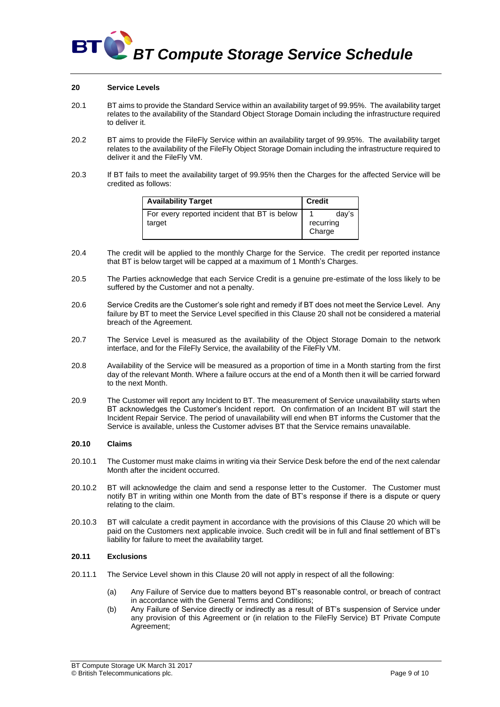

#### <span id="page-8-0"></span>**20 Service Levels**

- 20.1 BT aims to provide the Standard Service within an availability target of 99.95%. The availability target relates to the availability of the Standard Object Storage Domain including the infrastructure required to deliver it.
- 20.2 BT aims to provide the FileFly Service within an availability target of 99.95%. The availability target relates to the availability of the FileFly Object Storage Domain including the infrastructure required to deliver it and the FileFly VM.
- 20.3 If BT fails to meet the availability target of 99.95% then the Charges for the affected Service will be credited as follows:

| <b>Availability Target</b>                             | <b>Credit</b>       |       |
|--------------------------------------------------------|---------------------|-------|
| For every reported incident that BT is below<br>target | recurring<br>Charge | dav's |

- 20.4 The credit will be applied to the monthly Charge for the Service. The credit per reported instance that BT is below target will be capped at a maximum of 1 Month's Charges.
- 20.5 The Parties acknowledge that each Service Credit is a genuine pre-estimate of the loss likely to be suffered by the Customer and not a penalty.
- 20.6 Service Credits are the Customer's sole right and remedy if BT does not meet the Service Level. Any failure by BT to meet the Service Level specified in this Clause [20](#page-8-0) shall not be considered a material breach of the Agreement.
- 20.7 The Service Level is measured as the availability of the Object Storage Domain to the network interface, and for the FileFly Service, the availability of the FileFly VM.
- 20.8 Availability of the Service will be measured as a proportion of time in a Month starting from the first day of the relevant Month. Where a failure occurs at the end of a Month then it will be carried forward to the next Month.
- 20.9 The Customer will report any Incident to BT. The measurement of Service unavailability starts when BT acknowledges the Customer's Incident report. On confirmation of an Incident BT will start the Incident Repair Service. The period of unavailability will end when BT informs the Customer that the Service is available, unless the Customer advises BT that the Service remains unavailable.

#### **20.10 Claims**

- 20.10.1 The Customer must make claims in writing via their Service Desk before the end of the next calendar Month after the incident occurred.
- 20.10.2 BT will acknowledge the claim and send a response letter to the Customer. The Customer must notify BT in writing within one Month from the date of BT's response if there is a dispute or query relating to the claim.
- 20.10.3 BT will calculate a credit payment in accordance with the provisions of this Clause [20](#page-8-0) which will be paid on the Customers next applicable invoice. Such credit will be in full and final settlement of BT's liability for failure to meet the availability target.

#### **20.11 Exclusions**

- 20.11.1 The Service Level shown in this Clause [20](#page-8-0) will not apply in respect of all the following:
	- (a) Any Failure of Service due to matters beyond BT's reasonable control, or breach of contract in accordance with the General Terms and Conditions;
	- (b) Any Failure of Service directly or indirectly as a result of BT's suspension of Service under any provision of this Agreement or (in relation to the FileFly Service) BT Private Compute Agreement;